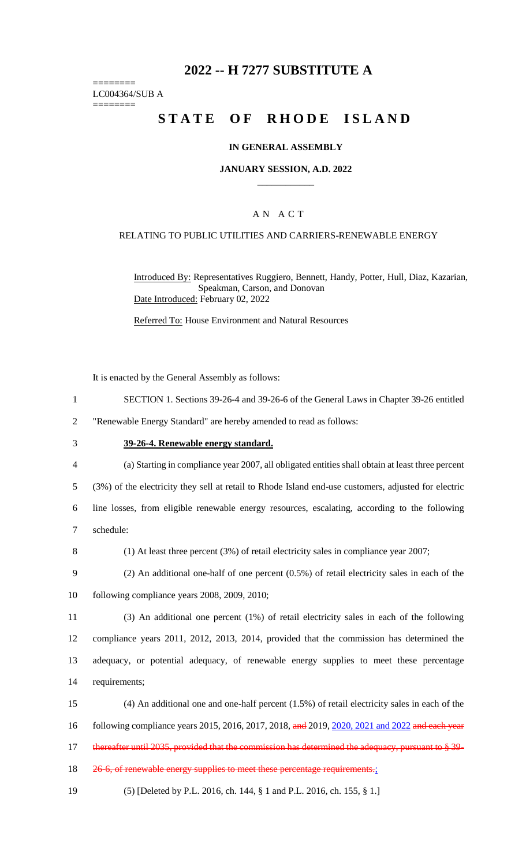# **2022 -- H 7277 SUBSTITUTE A**

======== LC004364/SUB A ========

# **STATE OF RHODE ISLAND**

### **IN GENERAL ASSEMBLY**

#### **JANUARY SESSION, A.D. 2022 \_\_\_\_\_\_\_\_\_\_\_\_**

# A N A C T

#### RELATING TO PUBLIC UTILITIES AND CARRIERS-RENEWABLE ENERGY

Introduced By: Representatives Ruggiero, Bennett, Handy, Potter, Hull, Diaz, Kazarian, Speakman, Carson, and Donovan Date Introduced: February 02, 2022

Referred To: House Environment and Natural Resources

It is enacted by the General Assembly as follows:

1 SECTION 1. Sections 39-26-4 and 39-26-6 of the General Laws in Chapter 39-26 entitled

2 "Renewable Energy Standard" are hereby amended to read as follows:

- 
- 3 **39-26-4. Renewable energy standard.**
- 4 (a) Starting in compliance year 2007, all obligated entities shall obtain at least three percent

5 (3%) of the electricity they sell at retail to Rhode Island end-use customers, adjusted for electric

6 line losses, from eligible renewable energy resources, escalating, according to the following 7 schedule:

8 (1) At least three percent (3%) of retail electricity sales in compliance year 2007;

9 (2) An additional one-half of one percent (0.5%) of retail electricity sales in each of the 10 following compliance years 2008, 2009, 2010;

 (3) An additional one percent (1%) of retail electricity sales in each of the following compliance years 2011, 2012, 2013, 2014, provided that the commission has determined the adequacy, or potential adequacy, of renewable energy supplies to meet these percentage requirements;

15 (4) An additional one and one-half percent (1.5%) of retail electricity sales in each of the

16 following compliance years 2015, 2016, 2017, 2018, and 2019, 2020, 2021 and 2022 and each year

17 thereafter until 2035, provided that the commission has determined the adequacy, pursuant to § 39-

18 26-6, of renewable energy supplies to meet these percentage requirements.;

19 (5) [Deleted by P.L. 2016, ch. 144, § 1 and P.L. 2016, ch. 155, § 1.]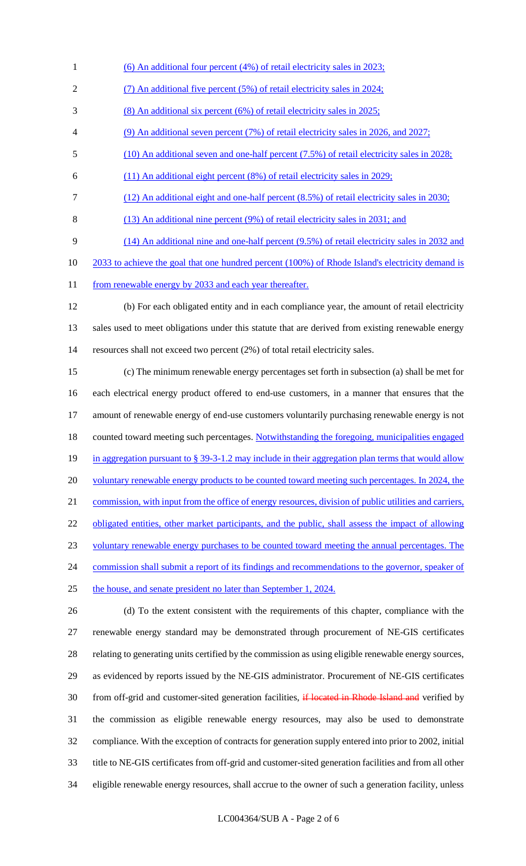- 1 (6) An additional four percent (4%) of retail electricity sales in 2023;
- (7) An additional five percent (5%) of retail electricity sales in 2024;
- (8) An additional six percent (6%) of retail electricity sales in 2025;
- (9) An additional seven percent (7%) of retail electricity sales in 2026, and 2027;
- (10) An additional seven and one-half percent (7.5%) of retail electricity sales in 2028;
- (11) An additional eight percent (8%) of retail electricity sales in 2029;
- (12) An additional eight and one-half percent (8.5%) of retail electricity sales in 2030;
- (13) An additional nine percent (9%) of retail electricity sales in 2031; and
- (14) An additional nine and one-half percent (9.5%) of retail electricity sales in 2032 and
- 10 2033 to achieve the goal that one hundred percent (100%) of Rhode Island's electricity demand is
- 11 from renewable energy by 2033 and each year thereafter.
- (b) For each obligated entity and in each compliance year, the amount of retail electricity sales used to meet obligations under this statute that are derived from existing renewable energy resources shall not exceed two percent (2%) of total retail electricity sales.
- (c) The minimum renewable energy percentages set forth in subsection (a) shall be met for each electrical energy product offered to end-use customers, in a manner that ensures that the amount of renewable energy of end-use customers voluntarily purchasing renewable energy is not 18 counted toward meeting such percentages. Notwithstanding the foregoing, municipalities engaged 19 in aggregation pursuant to § 39-3-1.2 may include in their aggregation plan terms that would allow 20 voluntary renewable energy products to be counted toward meeting such percentages. In 2024, the 21 commission, with input from the office of energy resources, division of public utilities and carriers, 22 obligated entities, other market participants, and the public, shall assess the impact of allowing voluntary renewable energy purchases to be counted toward meeting the annual percentages. The 24 commission shall submit a report of its findings and recommendations to the governor, speaker of the house, and senate president no later than September 1, 2024.
- (d) To the extent consistent with the requirements of this chapter, compliance with the renewable energy standard may be demonstrated through procurement of NE-GIS certificates relating to generating units certified by the commission as using eligible renewable energy sources, as evidenced by reports issued by the NE-GIS administrator. Procurement of NE-GIS certificates 30 from off-grid and customer-sited generation facilities, if located in Rhode Island and verified by the commission as eligible renewable energy resources, may also be used to demonstrate compliance. With the exception of contracts for generation supply entered into prior to 2002, initial title to NE-GIS certificates from off-grid and customer-sited generation facilities and from all other eligible renewable energy resources, shall accrue to the owner of such a generation facility, unless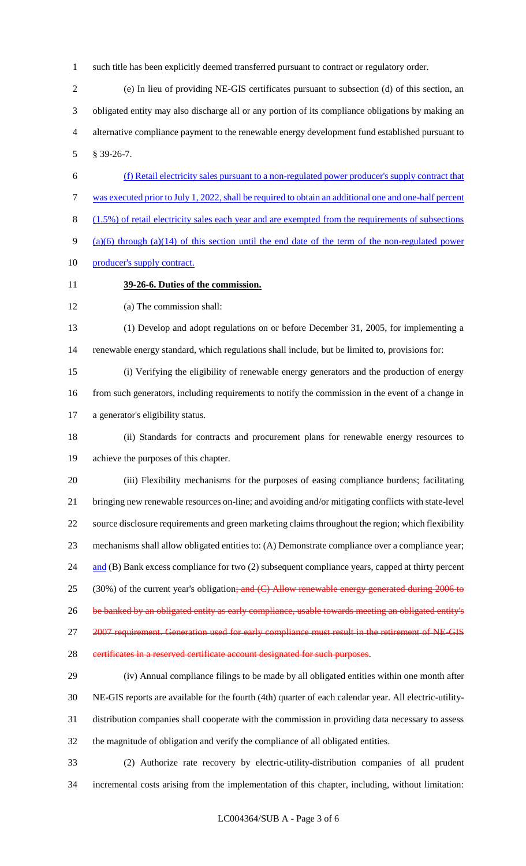such title has been explicitly deemed transferred pursuant to contract or regulatory order.

 (e) In lieu of providing NE-GIS certificates pursuant to subsection (d) of this section, an obligated entity may also discharge all or any portion of its compliance obligations by making an alternative compliance payment to the renewable energy development fund established pursuant to § 39-26-7.

 (f) Retail electricity sales pursuant to a non-regulated power producer's supply contract that was executed prior to July 1, 2022, shall be required to obtain an additional one and one-half percent (1.5%) of retail electricity sales each year and are exempted from the requirements of subsections (a)(6) through (a)(14) of this section until the end date of the term of the non-regulated power 10 producer's supply contract.

**39-26-6. Duties of the commission.**

(a) The commission shall:

 (1) Develop and adopt regulations on or before December 31, 2005, for implementing a renewable energy standard, which regulations shall include, but be limited to, provisions for:

 (i) Verifying the eligibility of renewable energy generators and the production of energy 16 from such generators, including requirements to notify the commission in the event of a change in a generator's eligibility status.

 (ii) Standards for contracts and procurement plans for renewable energy resources to achieve the purposes of this chapter.

 (iii) Flexibility mechanisms for the purposes of easing compliance burdens; facilitating bringing new renewable resources on-line; and avoiding and/or mitigating conflicts with state-level source disclosure requirements and green marketing claims throughout the region; which flexibility mechanisms shall allow obligated entities to: (A) Demonstrate compliance over a compliance year; 24 and (B) Bank excess compliance for two (2) subsequent compliance years, capped at thirty percent 25 (30%) of the current year's obligation<del>; and (C) Allow renewable energy generated during 2006 to</del> 26 be banked by an obligated entity as early compliance, usable towards meeting an obligated entity's 27 2007 requirement. Generation used for early compliance must result in the retirement of NE-GIS 28 certificates in a reserved certificate account designated for such purposes.

 (iv) Annual compliance filings to be made by all obligated entities within one month after NE-GIS reports are available for the fourth (4th) quarter of each calendar year. All electric-utility- distribution companies shall cooperate with the commission in providing data necessary to assess the magnitude of obligation and verify the compliance of all obligated entities.

 (2) Authorize rate recovery by electric-utility-distribution companies of all prudent incremental costs arising from the implementation of this chapter, including, without limitation: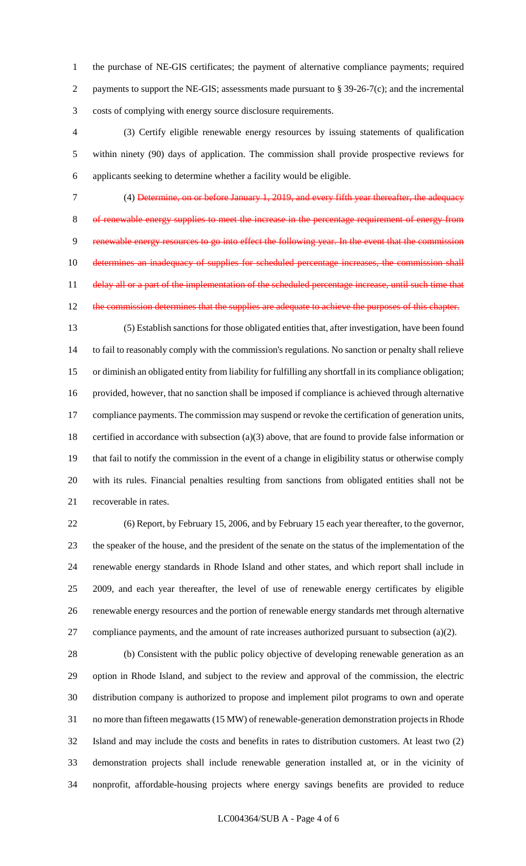the purchase of NE-GIS certificates; the payment of alternative compliance payments; required 2 payments to support the NE-GIS; assessments made pursuant to § 39-26-7(c); and the incremental costs of complying with energy source disclosure requirements.

 (3) Certify eligible renewable energy resources by issuing statements of qualification within ninety (90) days of application. The commission shall provide prospective reviews for applicants seeking to determine whether a facility would be eligible.

 (4) Determine, on or before January 1, 2019, and every fifth year thereafter, the adequacy of renewable energy supplies to meet the increase in the percentage requirement of energy from renewable energy resources to go into effect the following year. In the event that the commission 10 determines an inadequacy of supplies for scheduled percentage increases, the commission shall 11 delay all or a part of the implementation of the scheduled percentage increase, until such time that 12 the commission determines that the supplies are adequate to achieve the purposes of this chapter.

 (5) Establish sanctions for those obligated entities that, after investigation, have been found to fail to reasonably comply with the commission's regulations. No sanction or penalty shall relieve or diminish an obligated entity from liability for fulfilling any shortfall in its compliance obligation; provided, however, that no sanction shall be imposed if compliance is achieved through alternative 17 compliance payments. The commission may suspend or revoke the certification of generation units, certified in accordance with subsection (a)(3) above, that are found to provide false information or that fail to notify the commission in the event of a change in eligibility status or otherwise comply with its rules. Financial penalties resulting from sanctions from obligated entities shall not be recoverable in rates.

 (6) Report, by February 15, 2006, and by February 15 each year thereafter, to the governor, the speaker of the house, and the president of the senate on the status of the implementation of the renewable energy standards in Rhode Island and other states, and which report shall include in 2009, and each year thereafter, the level of use of renewable energy certificates by eligible renewable energy resources and the portion of renewable energy standards met through alternative compliance payments, and the amount of rate increases authorized pursuant to subsection (a)(2).

 (b) Consistent with the public policy objective of developing renewable generation as an option in Rhode Island, and subject to the review and approval of the commission, the electric distribution company is authorized to propose and implement pilot programs to own and operate no more than fifteen megawatts (15 MW) of renewable-generation demonstration projects in Rhode Island and may include the costs and benefits in rates to distribution customers. At least two (2) demonstration projects shall include renewable generation installed at, or in the vicinity of nonprofit, affordable-housing projects where energy savings benefits are provided to reduce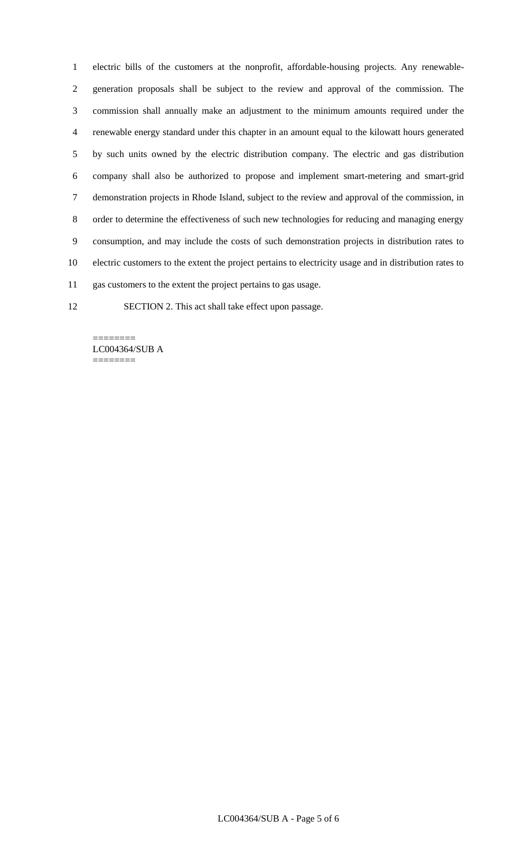electric bills of the customers at the nonprofit, affordable-housing projects. Any renewable- generation proposals shall be subject to the review and approval of the commission. The commission shall annually make an adjustment to the minimum amounts required under the renewable energy standard under this chapter in an amount equal to the kilowatt hours generated by such units owned by the electric distribution company. The electric and gas distribution company shall also be authorized to propose and implement smart-metering and smart-grid demonstration projects in Rhode Island, subject to the review and approval of the commission, in order to determine the effectiveness of such new technologies for reducing and managing energy consumption, and may include the costs of such demonstration projects in distribution rates to electric customers to the extent the project pertains to electricity usage and in distribution rates to gas customers to the extent the project pertains to gas usage.

SECTION 2. This act shall take effect upon passage.

======== LC004364/SUB A ========